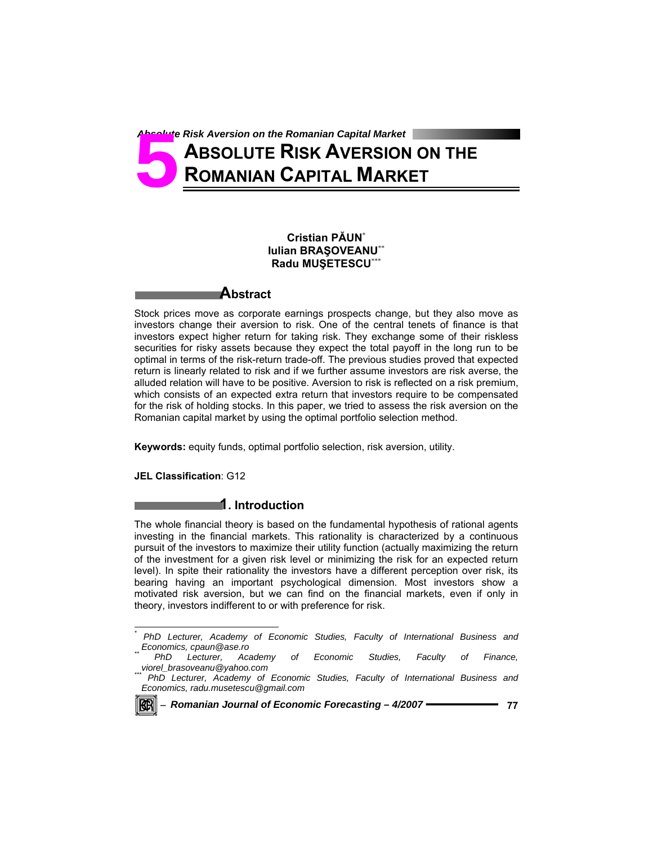Absolute Risk Aversion on the Romanian Capital Market<br>**52 ABSOLUTE RISK AVERSION**<br>**52 ROMANIAN CAPITAL MARK ABSOLUTE RISK AVERSION ON THE ROMANIAN CAPITAL MARKET**

# **Cristian PĂUN**\* **Iulian BRAŞOVEANU**\*\* **Radu MUŞETESCU**\*\*\*

## **Abstract**

Stock prices move as corporate earnings prospects change, but they also move as investors change their aversion to risk. One of the central tenets of finance is that investors expect higher return for taking risk. They exchange some of their riskless securities for risky assets because they expect the total payoff in the long run to be optimal in terms of the risk-return trade-off. The previous studies proved that expected return is linearly related to risk and if we further assume investors are risk averse, the alluded relation will have to be positive. Aversion to risk is reflected on a risk premium, which consists of an expected extra return that investors require to be compensated for the risk of holding stocks. In this paper, we tried to assess the risk aversion on the Romanian capital market by using the optimal portfolio selection method.

**Keywords:** equity funds, optimal portfolio selection, risk aversion, utility.

**JEL Classification**: G12

### **1. Introduction**

The whole financial theory is based on the fundamental hypothesis of rational agents investing in the financial markets. This rationality is characterized by a continuous pursuit of the investors to maximize their utility function (actually maximizing the return of the investment for a given risk level or minimizing the risk for an expected return level). In spite their rationality the investors have a different perception over risk, its bearing having an important psychological dimension. Most investors show a motivated risk aversion, but we can find on the financial markets, even if only in theory, investors indifferent to or with preference for risk.

*PhD Lecturer, Academy of Economic Studies, Faculty of International Business and Economics, radu.musetescu@gmail.com* 



l *\**

*PhD Lecturer, Academy of Economic Studies, Faculty of International Business and* 

*Economics, cpaun@ase.ro \*\* PhD Lecturer, Academy of Economic Studies, Faculty of Finance,*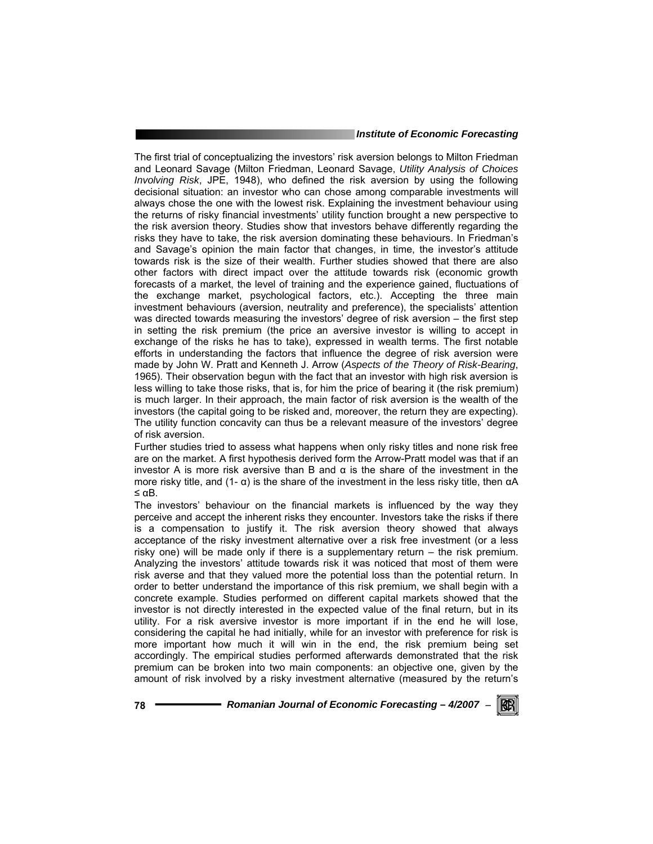The first trial of conceptualizing the investors' risk aversion belongs to Milton Friedman and Leonard Savage (Milton Friedman, Leonard Savage, *Utility Analysis of Choices Involving Risk*, JPE, 1948), who defined the risk aversion by using the following decisional situation: an investor who can chose among comparable investments will always chose the one with the lowest risk. Explaining the investment behaviour using the returns of risky financial investments' utility function brought a new perspective to the risk aversion theory. Studies show that investors behave differently regarding the risks they have to take, the risk aversion dominating these behaviours. In Friedman's and Savage's opinion the main factor that changes, in time, the investor's attitude towards risk is the size of their wealth. Further studies showed that there are also other factors with direct impact over the attitude towards risk (economic growth forecasts of a market, the level of training and the experience gained, fluctuations of the exchange market, psychological factors, etc.). Accepting the three main investment behaviours (aversion, neutrality and preference), the specialists' attention was directed towards measuring the investors' degree of risk aversion – the first step in setting the risk premium (the price an aversive investor is willing to accept in exchange of the risks he has to take), expressed in wealth terms. The first notable efforts in understanding the factors that influence the degree of risk aversion were made by John W. Pratt and Kenneth J. Arrow (*Aspects of the Theory of Risk-Bearing*, 1965). Their observation begun with the fact that an investor with high risk aversion is less willing to take those risks, that is, for him the price of bearing it (the risk premium) is much larger. In their approach, the main factor of risk aversion is the wealth of the investors (the capital going to be risked and, moreover, the return they are expecting). The utility function concavity can thus be a relevant measure of the investors' degree of risk aversion.

Further studies tried to assess what happens when only risky titles and none risk free are on the market. A first hypothesis derived form the Arrow-Pratt model was that if an investor A is more risk aversive than B and α is the share of the investment in the more risky title, and  $(1 - α)$  is the share of the investment in the less risky title, then  $αA$ ≤ αB.

The investors' behaviour on the financial markets is influenced by the way they perceive and accept the inherent risks they encounter. Investors take the risks if there is a compensation to justify it. The risk aversion theory showed that always acceptance of the risky investment alternative over a risk free investment (or a less risky one) will be made only if there is a supplementary return – the risk premium. Analyzing the investors' attitude towards risk it was noticed that most of them were risk averse and that they valued more the potential loss than the potential return. In order to better understand the importance of this risk premium, we shall begin with a concrete example. Studies performed on different capital markets showed that the investor is not directly interested in the expected value of the final return, but in its utility. For a risk aversive investor is more important if in the end he will lose, considering the capital he had initially, while for an investor with preference for risk is more important how much it will win in the end, the risk premium being set accordingly. The empirical studies performed afterwards demonstrated that the risk premium can be broken into two main components: an objective one, given by the amount of risk involved by a risky investment alternative (measured by the return's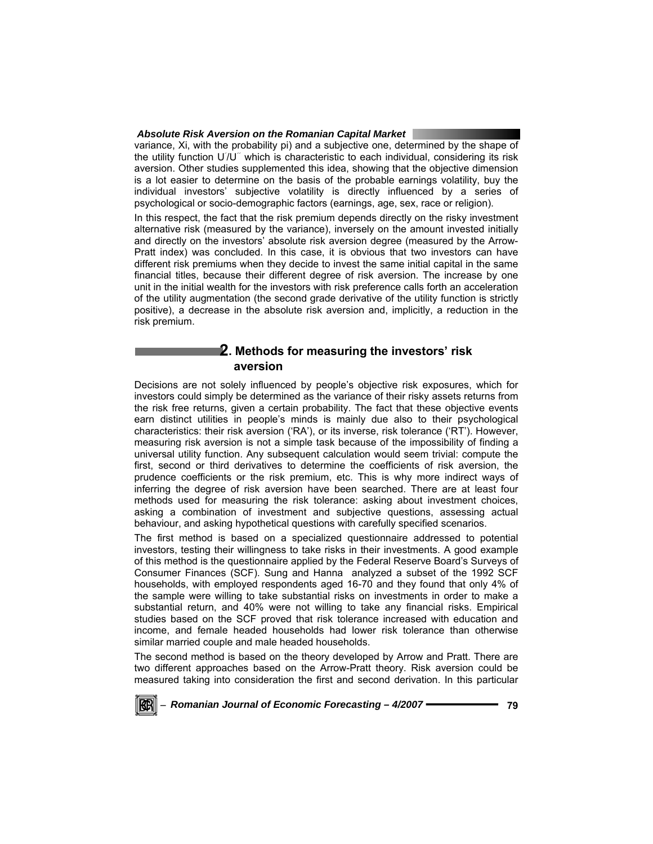#### *Absolute Risk Aversion on the Romanian Capital Market*

variance, Xi, with the probability pi) and a subjective one, determined by the shape of the utility function U'/U" which is characteristic to each individual, considering its risk aversion. Other studies supplemented this idea, showing that the objective dimension is a lot easier to determine on the basis of the probable earnings volatility, buy the individual investors' subjective volatility is directly influenced by a series of psychological or socio-demographic factors (earnings, age, sex, race or religion).

In this respect, the fact that the risk premium depends directly on the risky investment alternative risk (measured by the variance), inversely on the amount invested initially and directly on the investors' absolute risk aversion degree (measured by the Arrow-Pratt index) was concluded. In this case, it is obvious that two investors can have different risk premiums when they decide to invest the same initial capital in the same financial titles, because their different degree of risk aversion. The increase by one unit in the initial wealth for the investors with risk preference calls forth an acceleration of the utility augmentation (the second grade derivative of the utility function is strictly positive), a decrease in the absolute risk aversion and, implicitly, a reduction in the risk premium.

# **2. Methods for measuring the investors' risk aversion**

Decisions are not solely influenced by people's objective risk exposures, which for investors could simply be determined as the variance of their risky assets returns from the risk free returns, given a certain probability. The fact that these objective events earn distinct utilities in people's minds is mainly due also to their psychological characteristics: their risk aversion ('RA'), or its inverse, risk tolerance ('RT'). However, measuring risk aversion is not a simple task because of the impossibility of finding a universal utility function. Any subsequent calculation would seem trivial: compute the first, second or third derivatives to determine the coefficients of risk aversion, the prudence coefficients or the risk premium, etc. This is why more indirect ways of inferring the degree of risk aversion have been searched. There are at least four methods used for measuring the risk tolerance: asking about investment choices, asking a combination of investment and subjective questions, assessing actual behaviour, and asking hypothetical questions with carefully specified scenarios.

The first method is based on a specialized questionnaire addressed to potential investors, testing their willingness to take risks in their investments. A good example of this method is the questionnaire applied by the Federal Reserve Board's Surveys of Consumer Finances (SCF). Sung and Hanna analyzed a subset of the 1992 SCF households, with employed respondents aged 16-70 and they found that only 4% of the sample were willing to take substantial risks on investments in order to make a substantial return, and 40% were not willing to take any financial risks. Empirical studies based on the SCF proved that risk tolerance increased with education and income, and female headed households had lower risk tolerance than otherwise similar married couple and male headed households.

The second method is based on the theory developed by Arrow and Pratt. There are two different approaches based on the Arrow-Pratt theory. Risk aversion could be measured taking into consideration the first and second derivation. In this particular

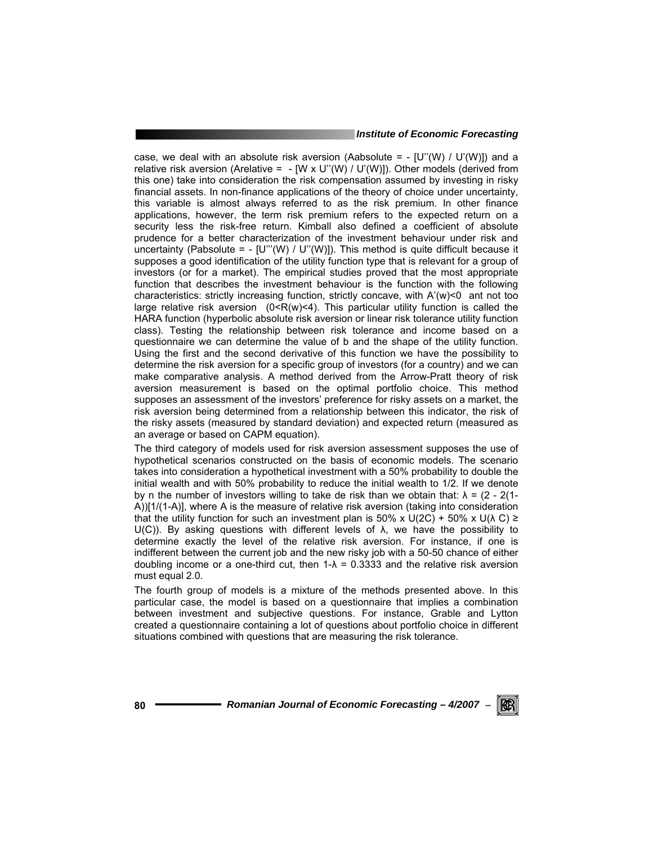case, we deal with an absolute risk aversion (Aabsolute =  $-$  [U"(W) / U"(W)]) and a relative risk aversion (Arelative =  $-$  [W x U"(W) / U'(W)]). Other models (derived from this one) take into consideration the risk compensation assumed by investing in risky financial assets. In non-finance applications of the theory of choice under uncertainty, this variable is almost always referred to as the risk premium. In other finance applications, however, the term risk premium refers to the expected return on a security less the risk-free return. Kimball also defined a coefficient of absolute prudence for a better characterization of the investment behaviour under risk and uncertainty (Pabsolute =  $-$  [U"'(W) / U"(W)]). This method is quite difficult because it supposes a good identification of the utility function type that is relevant for a group of investors (or for a market). The empirical studies proved that the most appropriate function that describes the investment behaviour is the function with the following characteristics: strictly increasing function, strictly concave, with A'(w)<0 ant not too large relative risk aversion  $(0 < R(w) < 4)$ . This particular utility function is called the HARA function (hyperbolic absolute risk aversion or linear risk tolerance utility function class). Testing the relationship between risk tolerance and income based on a questionnaire we can determine the value of b and the shape of the utility function. Using the first and the second derivative of this function we have the possibility to determine the risk aversion for a specific group of investors (for a country) and we can make comparative analysis. A method derived from the Arrow-Pratt theory of risk aversion measurement is based on the optimal portfolio choice. This method supposes an assessment of the investors' preference for risky assets on a market, the risk aversion being determined from a relationship between this indicator, the risk of the risky assets (measured by standard deviation) and expected return (measured as an average or based on CAPM equation).

The third category of models used for risk aversion assessment supposes the use of hypothetical scenarios constructed on the basis of economic models. The scenario takes into consideration a hypothetical investment with a 50% probability to double the initial wealth and with 50% probability to reduce the initial wealth to 1/2. If we denote by n the number of investors willing to take de risk than we obtain that:  $\lambda = (2 - 2(1-\lambda))$ A))[1/(1-A)], where A is the measure of relative risk aversion (taking into consideration that the utility function for such an investment plan is 50% x U(2C) + 50% x U( $\lambda$ C) ≥ U(C)). By asking questions with different levels of  $\lambda$ , we have the possibility to determine exactly the level of the relative risk aversion. For instance, if one is indifferent between the current job and the new risky job with a 50-50 chance of either doubling income or a one-third cut, then  $1-\lambda = 0.3333$  and the relative risk aversion must equal 2.0.

The fourth group of models is a mixture of the methods presented above. In this particular case, the model is based on a questionnaire that implies a combination between investment and subjective questions. For instance, Grable and Lytton created a questionnaire containing a lot of questions about portfolio choice in different situations combined with questions that are measuring the risk tolerance.

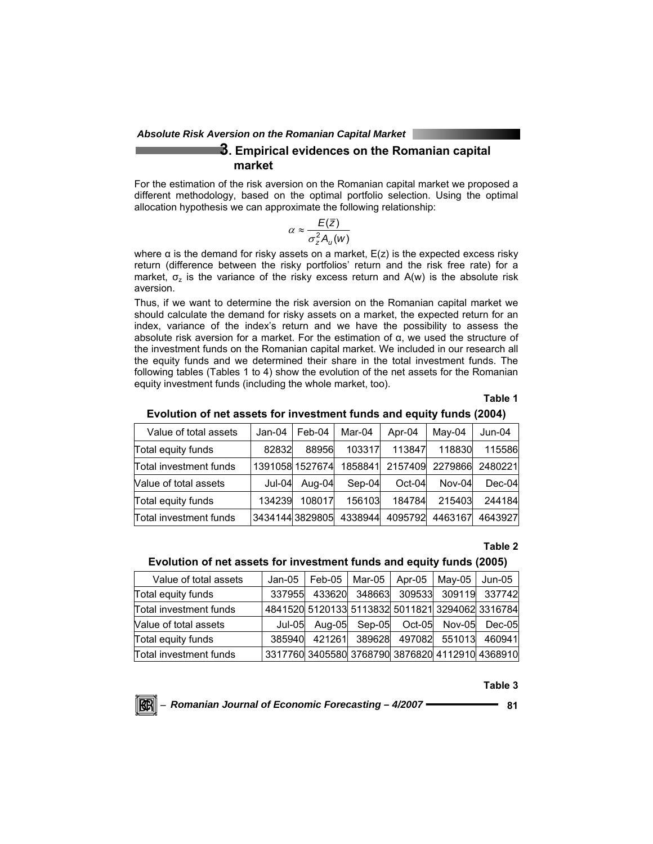*Absolute Risk Aversion on the Romanian Capital Market* 

# **3. Empirical evidences on the Romanian capital market**

For the estimation of the risk aversion on the Romanian capital market we proposed a different methodology, based on the optimal portfolio selection. Using the optimal allocation hypothesis we can approximate the following relationship:

$$
\alpha \approx \frac{E(\bar{z})}{\sigma_z^2 A_u(w)}
$$

where  $\alpha$  is the demand for risky assets on a market,  $E(z)$  is the expected excess risky return (difference between the risky portfolios' return and the risk free rate) for a market,  $\sigma$ <sub>z</sub> is the variance of the risky excess return and A(w) is the absolute risk aversion.

Thus, if we want to determine the risk aversion on the Romanian capital market we should calculate the demand for risky assets on a market, the expected return for an index, variance of the index's return and we have the possibility to assess the absolute risk aversion for a market. For the estimation of α, we used the structure of the investment funds on the Romanian capital market. We included in our research all the equity funds and we determined their share in the total investment funds. The following tables (Tables 1 to 4) show the evolution of the net assets for the Romanian equity investment funds (including the whole market, too).

**Table 1** 

#### **Evolution of net assets for investment funds and equity funds (2004)**

| Value of total assets  | Jan-04 | Feb-04          | Mar-04  | Apr-04   | May-04  | Jun-04   |
|------------------------|--------|-----------------|---------|----------|---------|----------|
| Total equity funds     | 82832  | 88956           | 103317  | 113847   | 118830  | 115586   |
| Total investment funds |        | 1391058 1527674 | 1858841 | 2157409  | 2279866 | 2480221  |
| Value of total assets  | Jul-04 | Aug-04          | Sep-04  | $Oct-04$ | Nov-04  | $Dec-04$ |
| Total equity funds     | 134239 | 108017          | 156103  | 184784   | 215403  | 244184   |
| Total investment funds |        | 34341443829805  | 4338944 | 4095792  | 4463167 | 4643927  |

### **Table 2**

#### **Evolution of net assets for investment funds and equity funds (2005)**

| Value of total assets  | Jan-05 | Feb-05 | Mar-05                                          | Apr-05   | May-05 | Jun-05        |
|------------------------|--------|--------|-------------------------------------------------|----------|--------|---------------|
| Total equity funds     | 337955 | 433620 | 348663                                          | 309533   |        | 309119 337742 |
| Total investment funds |        |        | 4841520 5120133 5113832 5011821 3294062 3316784 |          |        |               |
| Value of total assets  | Jul-05 | Aug-05 | Sep-05                                          | $Oct-05$ | Nov-05 | Dec-05        |
| Total equity funds     | 385940 | 421261 | 389628                                          | 497082   | 551013 | 460941        |
| Total investment funds |        |        | 3317760 3405580 3768790 3876820 4112910 4368910 |          |        |               |

### **Table 3**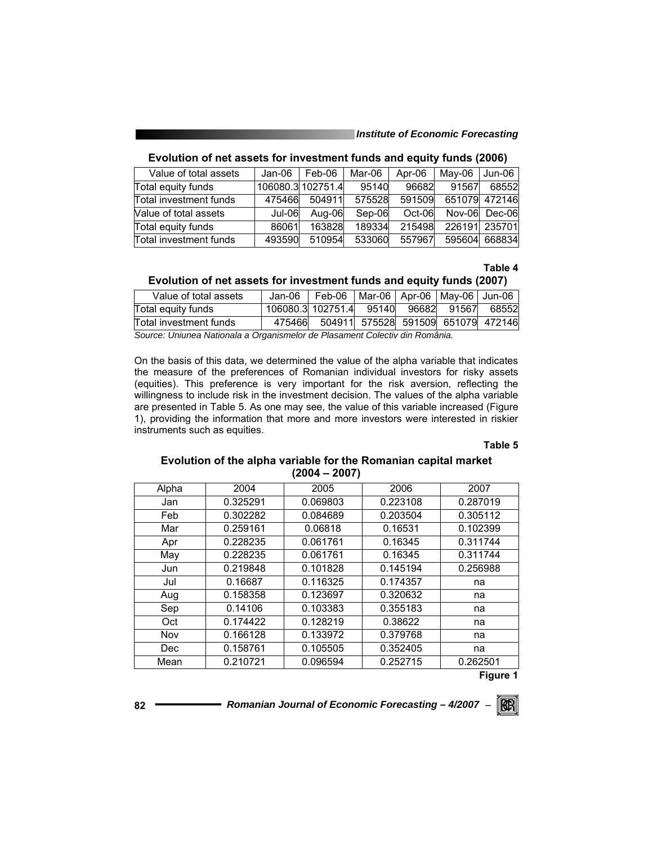| Value of total assets  | Jan-06 | Feb-06            | Mar-06 | Apr-06 | May-06 | Jun-06        |
|------------------------|--------|-------------------|--------|--------|--------|---------------|
| Total equity funds     |        | 106080.3 102751.4 | 95140  | 96682  | 91567  | 68552         |
| Total investment funds | 475466 | 504911            | 575528 | 591509 |        | 651079 472146 |
| Value of total assets  | Jul-06 | Aug-06            | Sep-06 | Oct-06 | Nov-06 | Dec-06        |
| Total equity funds     | 86061  | 163828            | 189334 | 215498 |        | 226191 235701 |
| Total investment funds | 493590 | 510954            | 533060 | 557967 | 595604 | 668834        |

### **Evolution of net assets for investment funds and equity funds (2006)**

### **Table 4**

### **Evolution of net assets for investment funds and equity funds (2007)**

| Value of total assets  | Jan-06 | Feb-06                              | Mar-06   Apr-06   May-06   Jun-06 |  |       |
|------------------------|--------|-------------------------------------|-----------------------------------|--|-------|
| Total equity funds     |        | 106080.3 102751.4 95140 96682 91567 |                                   |  | 68552 |
| Total investment funds | 475466 | 504911 575528 591509 651079 472146  |                                   |  |       |

*Source: Uniunea Nationala a Organismelor de Plasament Colectiv din România.* 

On the basis of this data, we determined the value of the alpha variable that indicates the measure of the preferences of Romanian individual investors for risky assets (equities). This preference is very important for the risk aversion, reflecting the willingness to include risk in the investment decision. The values of the alpha variable are presented in Table 5. As one may see, the value of this variable increased (Figure 1), providing the information that more and more investors were interested in riskier instruments such as equities.

#### **Table 5**

### **Evolution of the alpha variable for the Romanian capital market (2004 – 2007)**

| Alpha      | 2004     | 2005     | 2006     | 2007     |
|------------|----------|----------|----------|----------|
| Jan        | 0.325291 | 0.069803 | 0.223108 | 0.287019 |
| Feb        | 0.302282 | 0.084689 | 0.203504 | 0.305112 |
| Mar        | 0.259161 | 0.06818  | 0.16531  | 0.102399 |
| Apr        | 0.228235 | 0.061761 | 0.16345  | 0.311744 |
| May        | 0.228235 | 0.061761 | 0.16345  | 0.311744 |
| Jun        | 0.219848 | 0.101828 | 0.145194 | 0.256988 |
| Jul        | 0.16687  | 0.116325 | 0.174357 | na       |
| Aug        | 0.158358 | 0.123697 | 0.320632 | na       |
| Sep        | 0.14106  | 0.103383 | 0.355183 | na       |
| Oct        | 0.174422 | 0.128219 | 0.38622  | na       |
| Nov        | 0.166128 | 0.133972 | 0.379768 | na       |
| <b>Dec</b> | 0.158761 | 0.105505 | 0.352405 | na       |
| Mean       | 0.210721 | 0.096594 | 0.252715 | 0.262501 |

**Figure 1**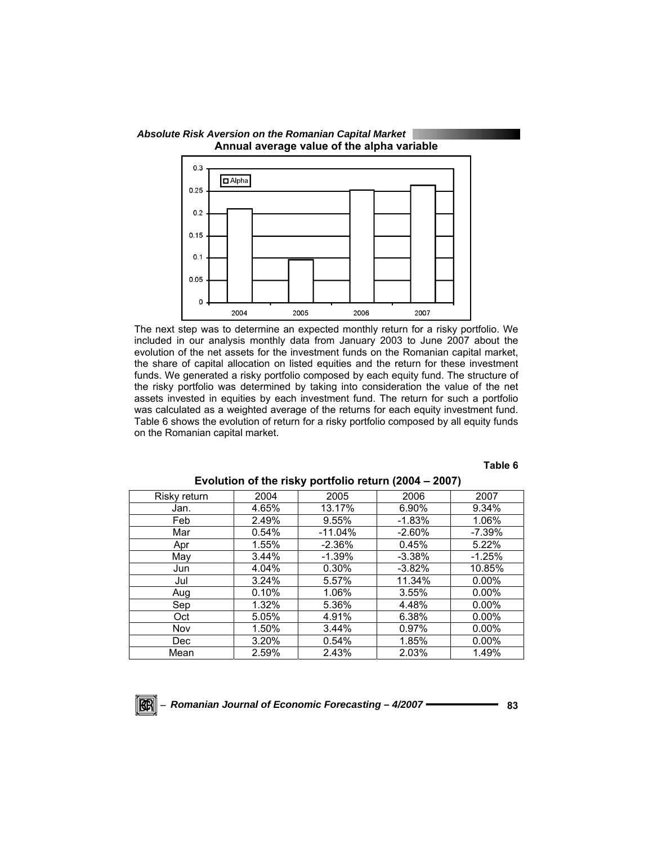

The next step was to determine an expected monthly return for a risky portfolio. We included in our analysis monthly data from January 2003 to June 2007 about the evolution of the net assets for the investment funds on the Romanian capital market, the share of capital allocation on listed equities and the return for these investment funds. We generated a risky portfolio composed by each equity fund. The structure of the risky portfolio was determined by taking into consideration the value of the net assets invested in equities by each investment fund. The return for such a portfolio was calculated as a weighted average of the returns for each equity investment fund. Table 6 shows the evolution of return for a risky portfolio composed by all equity funds

## **Table 6**

| Risky return | 2004  | 2005      | 2006     | 2007      |
|--------------|-------|-----------|----------|-----------|
| Jan.         | 4.65% | 13.17%    | 6.90%    | 9.34%     |
| Feb          | 2.49% | 9.55%     | $-1.83%$ | 1.06%     |
| Mar          | 0.54% | $-11.04%$ | $-2.60%$ | $-7.39\%$ |
| Apr          | 1.55% | $-2.36%$  | 0.45%    | 5.22%     |
| May          | 3.44% | $-1.39%$  | $-3.38%$ | $-1.25%$  |
| Jun          | 4.04% | 0.30%     | $-3.82%$ | 10.85%    |
| Jul          | 3.24% | 5.57%     | 11.34%   | $0.00\%$  |
| Aug          | 0.10% | 1.06%     | 3.55%    | $0.00\%$  |
| Sep          | 1.32% | 5.36%     | 4.48%    | $0.00\%$  |
| Oct          | 5.05% | 4.91%     | 6.38%    | $0.00\%$  |
| Nov          | 1.50% | 3.44%     | 0.97%    | $0.00\%$  |
| Dec          | 3.20% | 0.54%     | 1.85%    | $0.00\%$  |
| Mean         | 2.59% | 2.43%     | 2.03%    | 1.49%     |

### **Evolution of the risky portfolio return (2004 – 2007)**



on the Romanian capital market.

 *Absolute Risk Aversion on the Romanian Capital Market*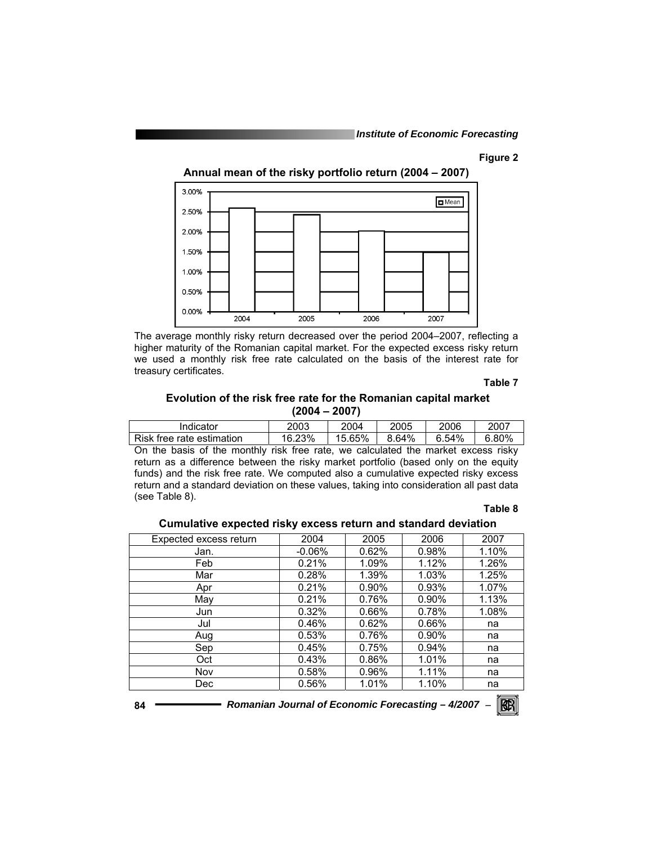#### **Figure 2**

**Annual mean of the risky portfolio return (2004 – 2007)** 



The average monthly risky return decreased over the period 2004–2007, reflecting a higher maturity of the Romanian capital market. For the expected excess risky return we used a monthly risk free rate calculated on the basis of the interest rate for treasury certificates.

#### **Table 7**

### **Evolution of the risk free rate for the Romanian capital market (2004 – 2007)**

| Indicator                 | 2003   | 2004   | 2005  | 2006  | 2007  |
|---------------------------|--------|--------|-------|-------|-------|
| Risk free rate estimation | 16.23% | 15.65% | 8.64% | 6.54% | 6.80% |

On the basis of the monthly risk free rate, we calculated the market excess risky return as a difference between the risky market portfolio (based only on the equity funds) and the risk free rate. We computed also a cumulative expected risky excess return and a standard deviation on these values, taking into consideration all past data (see Table 8).

### **Table 8**

|                        | <b>Pathamity Unpolium Huny Unubuu Tulmiti uhu Uluhumi u uu Hulluh</b> |          |          |       |  |  |  |
|------------------------|-----------------------------------------------------------------------|----------|----------|-------|--|--|--|
| Expected excess return | 2004                                                                  | 2005     | 2006     | 2007  |  |  |  |
| Jan.                   | $-0.06\%$                                                             | 0.62%    | 0.98%    | 1.10% |  |  |  |
| Feb                    | 0.21%                                                                 | 1.09%    | 1.12%    | 1.26% |  |  |  |
| Mar                    | 0.28%                                                                 | 1.39%    | 1.03%    | 1.25% |  |  |  |
| Apr                    | 0.21%                                                                 | $0.90\%$ | 0.93%    | 1.07% |  |  |  |
| May                    | 0.21%                                                                 | 0.76%    | $0.90\%$ | 1.13% |  |  |  |
| Jun                    | 0.32%                                                                 | 0.66%    | 0.78%    | 1.08% |  |  |  |
| Jul                    | 0.46%                                                                 | 0.62%    | 0.66%    | na    |  |  |  |
| Aug                    | 0.53%                                                                 | 0.76%    | $0.90\%$ | na    |  |  |  |
| Sep                    | 0.45%                                                                 | 0.75%    | 0.94%    | na    |  |  |  |
| Oct                    | 0.43%                                                                 | 0.86%    | 1.01%    | na    |  |  |  |
| Nov                    | 0.58%                                                                 | 0.96%    | 1.11%    | na    |  |  |  |
| Dec.                   | 0.56%                                                                 | 1.01%    | 1.10%    | na    |  |  |  |

# **Cumulative expected risky excess return and standard deviation**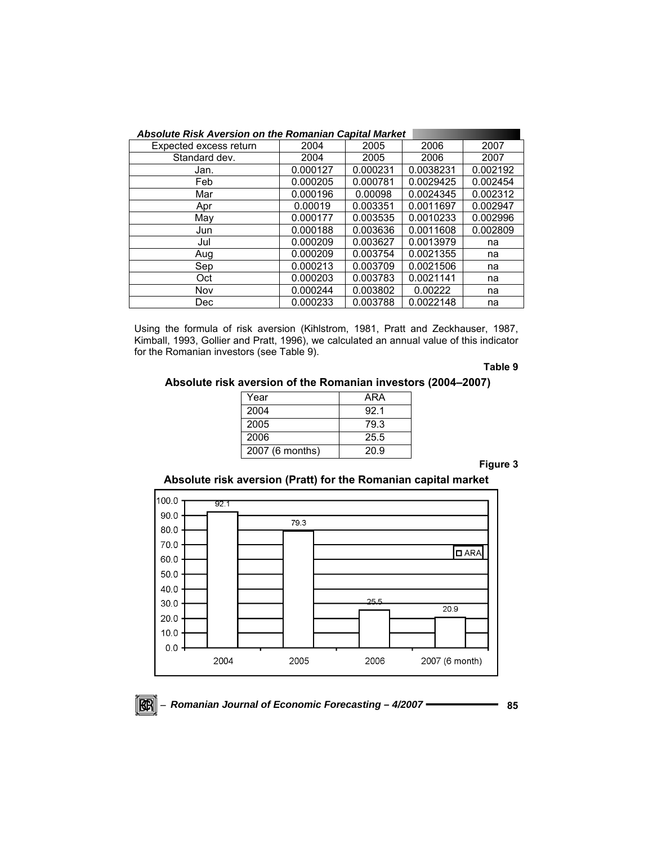| <b>Absolute Risk Aversion on the Romanian Capital Market</b> |          |          |           |          |  |  |
|--------------------------------------------------------------|----------|----------|-----------|----------|--|--|
| Expected excess return                                       | 2004     | 2005     | 2006      | 2007     |  |  |
| Standard dev.                                                | 2004     | 2005     | 2006      | 2007     |  |  |
| Jan.                                                         | 0.000127 | 0.000231 | 0.0038231 | 0.002192 |  |  |
| Feb                                                          | 0.000205 | 0.000781 | 0.0029425 | 0.002454 |  |  |
| Mar                                                          | 0.000196 | 0.00098  | 0.0024345 | 0.002312 |  |  |
| Apr                                                          | 0.00019  | 0.003351 | 0.0011697 | 0.002947 |  |  |
| May                                                          | 0.000177 | 0.003535 | 0.0010233 | 0.002996 |  |  |
| Jun                                                          | 0.000188 | 0.003636 | 0.0011608 | 0.002809 |  |  |
| Jul                                                          | 0.000209 | 0.003627 | 0.0013979 | na       |  |  |
| Aug                                                          | 0.000209 | 0.003754 | 0.0021355 | na       |  |  |
| Sep                                                          | 0.000213 | 0.003709 | 0.0021506 | na       |  |  |
| Oct                                                          | 0.000203 | 0.003783 | 0.0021141 | na       |  |  |
| Nov                                                          | 0.000244 | 0.003802 | 0.00222   | na       |  |  |
| Dec                                                          | 0.000233 | 0.003788 | 0.0022148 | na       |  |  |

Using the formula of risk aversion (Kihlstrom, 1981, Pratt and Zeckhauser, 1987, Kimball, 1993, Gollier and Pratt, 1996), we calculated an annual value of this indicator for the Romanian investors (see Table 9).

**Table 9** 

### **Absolute risk aversion of the Romanian investors (2004–2007)**

| Year            | ARA  |
|-----------------|------|
| 2004            | 92.1 |
| 2005            | 79.3 |
| 2006            | 25.5 |
| 2007 (6 months) | 20.9 |

**Figure 3** 

# **Absolute risk aversion (Pratt) for the Romanian capital market**



 $\mathbb{R}$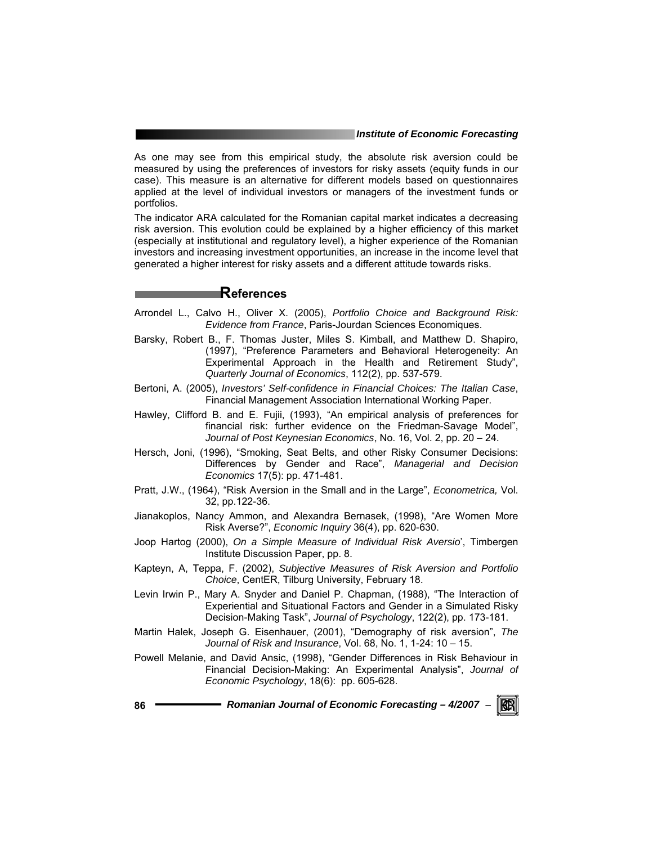As one may see from this empirical study, the absolute risk aversion could be measured by using the preferences of investors for risky assets (equity funds in our case). This measure is an alternative for different models based on questionnaires applied at the level of individual investors or managers of the investment funds or portfolios.

The indicator ARA calculated for the Romanian capital market indicates a decreasing risk aversion. This evolution could be explained by a higher efficiency of this market (especially at institutional and regulatory level), a higher experience of the Romanian investors and increasing investment opportunities, an increase in the income level that generated a higher interest for risky assets and a different attitude towards risks.

# **References**

- Arrondel L., Calvo H., Oliver X. (2005), *Portfolio Choice and Background Risk: Evidence from France*, Paris-Jourdan Sciences Economiques.
- Barsky, Robert B., F. Thomas Juster, Miles S. Kimball, and Matthew D. Shapiro, (1997), "Preference Parameters and Behavioral Heterogeneity: An Experimental Approach in the Health and Retirement Study", *Quarterly Journal of Economics*, 112(2), pp. 537-579.
- Bertoni, A. (2005), *Investors' Self-confidence in Financial Choices: The Italian Case*, Financial Management Association International Working Paper.
- Hawley, Clifford B. and E. Fujii, (1993), "An empirical analysis of preferences for financial risk: further evidence on the Friedman-Savage Model", *Journal of Post Keynesian Economics*, No. 16, Vol. 2, pp. 20 – 24.
- Hersch, Joni, (1996), "Smoking, Seat Belts, and other Risky Consumer Decisions: Differences by Gender and Race", *Managerial and Decision Economics* 17(5): pp. 471-481.
- Pratt, J.W., (1964), "Risk Aversion in the Small and in the Large", *Econometrica,* Vol. 32, pp.122-36.
- Jianakoplos, Nancy Ammon, and Alexandra Bernasek, (1998), "Are Women More Risk Averse?", *Economic Inquiry* 36(4), pp. 620-630.
- Joop Hartog (2000), *On a Simple Measure of Individual Risk Aversio*', Timbergen Institute Discussion Paper, pp. 8.
- Kapteyn, A, Teppa, F. (2002), *Subjective Measures of Risk Aversion and Portfolio Choice*, CentER, Tilburg University, February 18.
- Levin Irwin P., Mary A. Snyder and Daniel P. Chapman, (1988), "The Interaction of Experiential and Situational Factors and Gender in a Simulated Risky Decision-Making Task", *Journal of Psychology*, 122(2), pp. 173-181.
- Martin Halek, Joseph G. Eisenhauer, (2001), "Demography of risk aversion", *The Journal of Risk and Insurance*, Vol. 68, No. 1, 1-24: 10 – 15.
- Powell Melanie, and David Ansic, (1998), "Gender Differences in Risk Behaviour in Financial Decision-Making: An Experimental Analysis", *Journal of Economic Psychology*, 18(6): pp. 605-628.

**86** *Romanian Journal of Economic Forecasting – 4/2007* <sup>−</sup>

RGRI